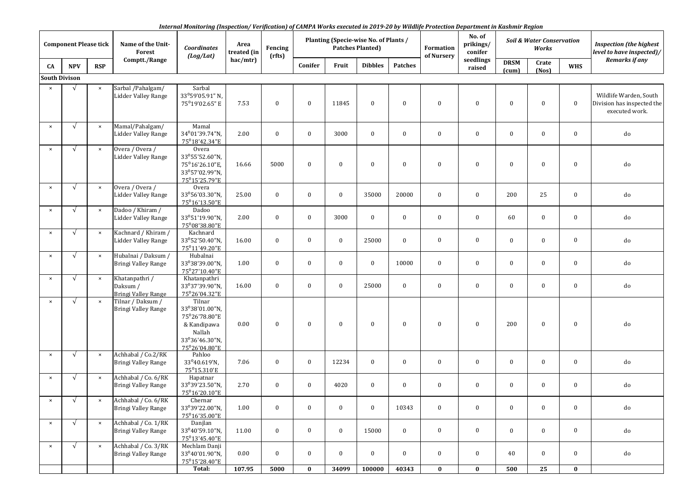*Internal Monitoring (Inspection/ Verification) of CAMPA Works executed in 2019-20 by Wildlife Protection Department in Kashmir Region*

| <b>Component Please tick</b> |            |                       | Name of the Unit-<br>Forest                              | <b>Coordinates</b><br>(log/Lat)                                                                       | Area<br>treated (in | Fencing<br>(rfts) |          | Planting (Specie-wise No. of Plants /<br><b>Patches Planted)</b> |                |                | Formation<br>of Nursery | No. of<br>prikings/<br>conifer | <b>Soil &amp; Water Conservation</b><br>Works |                |              | <b>Inspection (the highest</b><br>level to have inspected)/            |
|------------------------------|------------|-----------------------|----------------------------------------------------------|-------------------------------------------------------------------------------------------------------|---------------------|-------------------|----------|------------------------------------------------------------------|----------------|----------------|-------------------------|--------------------------------|-----------------------------------------------|----------------|--------------|------------------------------------------------------------------------|
| CA                           | <b>NPV</b> | <b>RSP</b>            | Comptt./Range                                            |                                                                                                       | hac/mtr)            |                   | Conifer  | Fruit                                                            | <b>Dibbles</b> | <b>Patches</b> |                         | seedlings<br>raised            | <b>DRSM</b><br>(cum)                          | Crate<br>(Nos) | <b>WHS</b>   | Remarks if any                                                         |
| <b>South Divison</b>         |            |                       |                                                          |                                                                                                       |                     |                   |          |                                                                  |                |                |                         |                                |                                               |                |              |                                                                        |
| $\times$                     | $\sqrt{ }$ | $\boldsymbol{\times}$ | Sarbal / Pahalgam/<br><b>Lidder Valley Range</b>         | Sarbal<br>33°59'05.91" N,<br>75°19'02.65" E                                                           | 7.53                | $\bf{0}$          | $\bf{0}$ | 11845                                                            | $\mathbf{0}$   | $\mathbf{0}$   | $\mathbf{0}$            | $\bf{0}$                       | $\bf{0}$                                      | $\bf{0}$       | $\bf{0}$     | Wildlife Warden, South<br>Division has inspected the<br>executed work. |
| $\pmb{\times}$               | $\sqrt{ }$ | $\boldsymbol{\times}$ | Mamal/Pahalgam/<br><b>Lidder Valley Range</b>            | Mamal<br>34°01'39.74"N,<br>75°18′42.34″E                                                              | 2.00                | $\bf{0}$          | $\bf{0}$ | 3000                                                             | $\mathbf{0}$   | $\mathbf{0}$   | $\bf{0}$                | $\bf{0}$                       | $\bf{0}$                                      | $\bf{0}$       | $\bf{0}$     | do                                                                     |
| $\pmb{\times}$               | $\sqrt{ }$ | $\times$              | Overa / Overa /<br><b>Lidder Valley Range</b>            | Overa<br>33°55'52.60"N,<br>75°16'26.10"E,<br>33°57'02.99"N,<br>75°15'25.79"E                          | 16.66               | 5000              | $\bf{0}$ | $\bf{0}$                                                         | $\mathbf{0}$   | $\mathbf{0}$   | $\bf{0}$                | $\bf{0}$                       | $\bf{0}$                                      | $\bf{0}$       | $\mathbf{0}$ | do                                                                     |
| $\pmb{\times}$               | $\sqrt{ }$ | $\times$              | Overa / Overa /<br>Lidder Valley Range                   | Overa<br>33°56'03.30"N,<br>75°16'13.50"E                                                              | 25.00               | $\bf{0}$          | $\bf{0}$ | $\bf{0}$                                                         | 35000          | 20000          | $\bf{0}$                | $\bf{0}$                       | 200                                           | 25             | $\bf{0}$     | do                                                                     |
| $\pmb{\times}$               | $\sqrt{ }$ | $\boldsymbol{\times}$ | Dadoo / Khiram /<br>Lidder Valley Range                  | Dadoo<br>33°51'19.90"N,<br>75°08'38.80"E                                                              | 2.00                | $\bf{0}$          | $\bf{0}$ | 3000                                                             | $\mathbf{0}$   | $\bf{0}$       | $\mathbf{0}$            | $\bf{0}$                       | 60                                            | $\bf{0}$       | $\mathbf{0}$ | do                                                                     |
| $\pmb{\times}$               | $\sqrt{ }$ | $\times$              | Kachnard / Khiram /<br>Lidder Valley Range               | Kachnard<br>33°52'50.40"N,<br>75°11'49.20"E                                                           | 16.00               | $\bf{0}$          | $\bf{0}$ | $\bf{0}$                                                         | 25000          | $\mathbf{0}$   | $\bf{0}$                | $\bf{0}$                       | $\bf{0}$                                      | $\bf{0}$       | $\bf{0}$     | do                                                                     |
| $\pmb{\times}$               | $\sqrt{ }$ | $\boldsymbol{\times}$ | Hubalnai / Daksum /<br>Bringi Valley Range               | Hubalnai<br>33°38'39.00"N,<br>75°27'10.40"E                                                           | 1.00                | $\bf{0}$          | $\bf{0}$ | $\bf{0}$                                                         | $\mathbf{0}$   | 10000          | $\mathbf{0}$            | $\bf{0}$                       | $\bf{0}$                                      | $\bf{0}$       | $\mathbf{0}$ | do                                                                     |
| $\pmb{\times}$               | $\sqrt{ }$ | $\times$              | Khatanpathri /<br>Daksum /<br><b>Bringi Valley Range</b> | Khatanpathri<br>33°37'39.90"N,<br>75°26′04.32″E                                                       | 16.00               | $\bf{0}$          | $\bf{0}$ | $\bf{0}$                                                         | 25000          | $\bf{0}$       | $\bf{0}$                | $\bf{0}$                       | $\bf{0}$                                      | $\bf{0}$       | $\bf{0}$     | do                                                                     |
| $\pmb{\times}$               | $\sqrt{ }$ | $\times$              | Tilnar / Daksum /<br><b>Bringi Valley Range</b>          | Tilnar<br>33°38'01.00"N,<br>75°26'78.80"E<br>& Kandipawa<br>Nallah<br>33°36'46.30"N,<br>75°26'04.80"E | 0.00                | $\bf{0}$          | $\bf{0}$ | $\bf{0}$                                                         | $\bf{0}$       | $\bf{0}$       | $\bf{0}$                | $\bf{0}$                       | 200                                           | $\bf{0}$       | $\bf{0}$     | do                                                                     |
| $\pmb{\times}$               | $\sqrt{ }$ | $\boldsymbol{\times}$ | Achhabal / Co.2/RK<br>Bringi Valley Range                | Pahloo<br>33°40.619'N,<br>75°15.310'E                                                                 | 7.06                | $\bf{0}$          | $\bf{0}$ | 12234                                                            | $\mathbf{0}$   | $\bf{0}$       | $\bf{0}$                | $\bf{0}$                       | $\bf{0}$                                      | $\bf{0}$       | $\bf{0}$     | do                                                                     |
| $\pmb{\times}$               | $\sqrt{ }$ | $\boldsymbol{\times}$ | Achhabal / Co. 6/RK<br><b>Bringi Valley Range</b>        | Hapatnar<br>33°39'23.50"N,<br>75°16'20.10"E                                                           | 2.70                | $\bf{0}$          | $\bf{0}$ | 4020                                                             | $\mathbf{0}$   | $\bf{0}$       | $\bf{0}$                | $\bf{0}$                       | $\bf{0}$                                      | $\bf{0}$       | $\bf{0}$     | do                                                                     |
| $\times$                     | $\sqrt{ }$ | $\pmb{\times}$        | Achhabal / Co. 6/RK<br>Bringi Valley Range               | Chernar<br>33°39'22.00"N,<br>75°16'35.00"E                                                            | 1.00                | $\bf{0}$          | $\bf{0}$ | $\bf{0}$                                                         | $\bf{0}$       | 10343          | $\bf{0}$                | $\bf{0}$                       | $\bf{0}$                                      | $\bf{0}$       | $\bf{0}$     | do                                                                     |
| $\pmb{\times}$               | $\sqrt{ }$ | $\pmb{\times}$        | Achhabal / Co. 1/RK<br><b>Bringi Valley Range</b>        | Danjlan<br>33°40'59.10"N,<br>75°13'45.40"E                                                            | 11.00               | $\bf{0}$          | $\bf{0}$ | $\bf{0}$                                                         | 15000          | $\bf{0}$       | $\mathbf{0}$            | $\bf{0}$                       | $\bf{0}$                                      | $\bf{0}$       | $\bf{0}$     | do                                                                     |
| $\pmb{\times}$               | $\sqrt{ }$ | $\boldsymbol{\times}$ | Achhabal / Co. 3/RK<br>Bringi Valley Range               | Mechlam Danji<br>33°40'01.90"N,<br>75°15'28.40"E                                                      | 0.00                | $\bf{0}$          | $\bf{0}$ | $\bf{0}$                                                         | $\mathbf{0}$   | $\bf{0}$       | $\bf{0}$                | $\bf{0}$                       | $40\,$                                        | $\bf{0}$       | $\bf{0}$     | do                                                                     |
|                              |            |                       |                                                          | Total:                                                                                                | 107.95              | 5000              | $\bf{0}$ | 34099                                                            | 100000         | 40343          | $\bf{0}$                | $\bf{0}$                       | 500                                           | ${\bf 25}$     | $\bf{0}$     |                                                                        |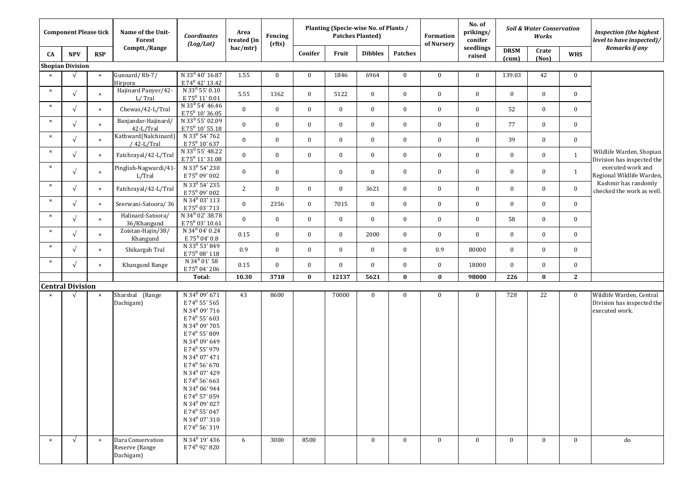| <b>Component Please tick</b> |                         |                | Name of the Unit-<br><b>Forest</b>               | Coordinates<br>(log/Lat)                                                                                                                                                                                                                                                                                                                                                                                                                                                                                                       | Area<br>treated (in | Fencing<br>(rfts) |                  |          | Planting (Specie-wise No. of Plants /<br><b>Patches Planted)</b> |                | Formation<br>of Nursery | No. of<br>prikings/<br>conifer | Soil & Water Conservation<br>Works |                |              | <b>Inspection (the highest</b> )<br>level to have inspected)/            |
|------------------------------|-------------------------|----------------|--------------------------------------------------|--------------------------------------------------------------------------------------------------------------------------------------------------------------------------------------------------------------------------------------------------------------------------------------------------------------------------------------------------------------------------------------------------------------------------------------------------------------------------------------------------------------------------------|---------------------|-------------------|------------------|----------|------------------------------------------------------------------|----------------|-------------------------|--------------------------------|------------------------------------|----------------|--------------|--------------------------------------------------------------------------|
| CA                           | <b>NPV</b>              | <b>RSP</b>     | Comptt./Range                                    |                                                                                                                                                                                                                                                                                                                                                                                                                                                                                                                                | hac/mtr)            |                   | Conifer          | Fruit    | <b>Dibbles</b>                                                   | <b>Patches</b> |                         | seedlings<br>raised            | <b>DRSM</b><br>(cum)               | Crate<br>(Nos) | <b>WHS</b>   | Remarks if any                                                           |
|                              | <b>Shopian Division</b> |                |                                                  |                                                                                                                                                                                                                                                                                                                                                                                                                                                                                                                                |                     |                   |                  |          |                                                                  |                |                         |                                |                                    |                |              |                                                                          |
| $\times$                     | $\sqrt{ }$              | $\pmb{\times}$ | Gunnard/Rb-7/<br>Hirpora                         | N 33 <sup>0</sup> 40' 16.87<br>E 74 <sup>0</sup> 42' 13.42                                                                                                                                                                                                                                                                                                                                                                                                                                                                     | 1.55                | $\bf{0}$          | $\bf{0}$         | 1846     | 6964                                                             | $\bf{0}$       | $\bf{0}$                | $\bf{0}$                       | 139.03                             | 42             | $\bf{0}$     |                                                                          |
| $\times$                     | $\sqrt{ }$              | $\pmb{\times}$ | Hajinard Panyer/42-<br>L/Tral                    | N 33 <sup>0</sup> 55' 0.10<br>E 75 <sup>0</sup> 11' 0.01                                                                                                                                                                                                                                                                                                                                                                                                                                                                       | 5.55                | 1362              | $\boldsymbol{0}$ | 5122     | $\overline{0}$                                                   | $\bf{0}$       | $\bf{0}$                | $\bf{0}$                       | $\bf{0}$                           | $\bf{0}$       | $\bf{0}$     |                                                                          |
| $\pmb{\times}$               | $\sqrt{ }$              | $\pmb{\times}$ | Chewas/42-L/Tral                                 | N 33 <sup>0</sup> 54' 46.46<br>E 75 <sup>0</sup> 10' 36.05                                                                                                                                                                                                                                                                                                                                                                                                                                                                     | $\bf{0}$            | $\bf{0}$          | $\bf{0}$         | $\bf{0}$ | $\overline{0}$                                                   | $\bf{0}$       | $\bf{0}$                | $\boldsymbol{0}$               | 52                                 | $\bf{0}$       | $\bf{0}$     |                                                                          |
| $\pmb{\times}$               | $\sqrt{ }$              | $\pmb{\times}$ | Banjandar-Hajinard/<br>42-L/Tral                 | N 33 <sup>0</sup> 55' 02.09<br>E 75 <sup>0</sup> 10' 55.18                                                                                                                                                                                                                                                                                                                                                                                                                                                                     | $\bf{0}$            | $\bf{0}$          | $\bf{0}$         | $\bf{0}$ | $\bf{0}$                                                         | $\bf{0}$       | $\bf{0}$                | $\bf{0}$                       | 77                                 | $\bf{0}$       | $\bf{0}$     |                                                                          |
| $\boldsymbol{\times}$        | $\sqrt{ }$              | $\times$       | Kathward(Nalchinard)<br>/ 42-L/Tral              | N 33 <sup>0</sup> 54' 762<br>E 75 <sup>0</sup> 10' 637                                                                                                                                                                                                                                                                                                                                                                                                                                                                         | $\bf{0}$            | $\bf{0}$          | $\bf{0}$         | $\bf{0}$ | $\bf{0}$                                                         | $\bf{0}$       | $\bf{0}$                | $\bf{0}$                       | 39                                 | $\bf{0}$       | $\bf{0}$     |                                                                          |
| $\pmb{\times}$               | $\sqrt{ }$              | $\pmb{\times}$ | Fatchrayal/42-L/Tral                             | N 33 <sup>0</sup> 55' 48.22<br>E 75 <sup>0</sup> 11' 31.08                                                                                                                                                                                                                                                                                                                                                                                                                                                                     | $\bf{0}$            | $\bf{0}$          | $\bf{0}$         | $\bf{0}$ | $\bf{0}$                                                         | $\bf{0}$       | $\bf{0}$                | $\boldsymbol{0}$               | $\bf{0}$                           | $\bf{0}$       | $\mathbf{1}$ | Wildlife Warden, Shopian<br>Division has inspected the                   |
| $\times$                     | $\sqrt{ }$              | $\pmb{\times}$ | Pinglish-Nagwardi/41<br>L/Tral                   | N 33 <sup>0</sup> 54' 230<br>E75 <sup>0</sup> 09' 002                                                                                                                                                                                                                                                                                                                                                                                                                                                                          | $\bf{0}$            | $\bf{0}$          |                  | 0        | $\bf{0}$                                                         | $\bf{0}$       | $\bf{0}$                | $\bf{0}$                       | $\bf{0}$                           | $\bf{0}$       | $\mathbf{1}$ | executed work and<br>Regional Wildlife Warden,                           |
| $\pmb{\times}$               | $\sqrt{ }$              | $\pmb{\times}$ | Fatchrayal/42-L/Tral                             | N 33 <sup>0</sup> 54' 235<br>E75 <sup>0</sup> 09' 002                                                                                                                                                                                                                                                                                                                                                                                                                                                                          | $\overline{2}$      | $\bf{0}$          | $\bf{0}$         | $\bf{0}$ | 3621                                                             | $\bf{0}$       | $\bf{0}$                | $\bf{0}$                       | $\bf{0}$                           | $\bf{0}$       | $\bf{0}$     | Kashmir has randomly<br>checked the work as well.                        |
| $\pmb{\times}$               | $\sqrt{ }$              | $\pmb{\times}$ | Seerwani-Satoora/36                              | N 34 <sup>0</sup> 03' 113<br>E 75 <sup>0</sup> 03' 713                                                                                                                                                                                                                                                                                                                                                                                                                                                                         | $\bf{0}$            | 2356              | $\bf{0}$         | 7015     | $\bf{0}$                                                         | $\bf{0}$       | $\bf{0}$                | $\boldsymbol{0}$               | $\bf{0}$                           | $\bf{0}$       | $\bf{0}$     |                                                                          |
| $\pmb{\times}$               | $\sqrt{ }$              | $\pmb{\times}$ | Halinard-Satoora/<br>36/Khangund                 | N 34 <sup>0</sup> 02' 38.78<br>E 75 <sup>0</sup> 03' 10.61                                                                                                                                                                                                                                                                                                                                                                                                                                                                     | $\bf{0}$            | $\bf{0}$          | $\bf{0}$         | $\bf{0}$ | $\overline{0}$                                                   | $\bf{0}$       | $\bf{0}$                | $\bf{0}$                       | 58                                 | $\bf{0}$       | $\bf{0}$     |                                                                          |
| $\pmb{\times}$               | $\sqrt{ }$              | $\pmb{\times}$ | Zoistan-Hajin/38/<br>Khangund                    | N 34 <sup>0</sup> 04' 0.24<br>$E 75^0 04' 0.8$                                                                                                                                                                                                                                                                                                                                                                                                                                                                                 | 0.15                | $\bf{0}$          | $\bf{0}$         | $\bf{0}$ | 2000                                                             | $\mathbf{0}$   | $\bf{0}$                | $\mathbf{0}$                   | $\bf{0}$                           | $\bf{0}$       | $\bf{0}$     |                                                                          |
| $\pmb{\times}$               | $\sqrt{ }$              | $\pmb{\times}$ | Shikargah Tral                                   | N 33 <sup>0</sup> 53' 849<br>E75 <sup>0</sup> 08' 118                                                                                                                                                                                                                                                                                                                                                                                                                                                                          | 0.9                 | $\bf{0}$          | $\bf{0}$         | $\bf{0}$ | $\bf{0}$                                                         | $\bf{0}$       | 0.9                     | 80000                          | $\bf{0}$                           | $\bf{0}$       | $\bf{0}$     |                                                                          |
| $\pmb{\times}$               | $\sqrt{ }$              | $\pmb{\times}$ | Khangund Range                                   | N 34 <sup>0</sup> 01' 58<br>E 75 <sup>0</sup> 04' 206                                                                                                                                                                                                                                                                                                                                                                                                                                                                          | 0.15                | $\mathbf{0}$      | $\bf{0}$         | $\bf{0}$ | $\mathbf{0}$                                                     | $\mathbf{0}$   | $\bf{0}$                | 18000                          | $\bf{0}$                           | $\bf{0}$       | $\bf{0}$     |                                                                          |
|                              |                         |                |                                                  | Total:                                                                                                                                                                                                                                                                                                                                                                                                                                                                                                                         | 10.30               | 3718              | $\bf{0}$         | 12137    | 5621                                                             | $\bf{0}$       | $\bf{0}$                | 98000                          | 226                                | $\bf{0}$       | $\mathbf{2}$ |                                                                          |
|                              | <b>Central Division</b> |                |                                                  |                                                                                                                                                                                                                                                                                                                                                                                                                                                                                                                                |                     |                   |                  |          |                                                                  |                |                         |                                |                                    |                |              |                                                                          |
| $\boldsymbol{\mathsf{x}}$    | $\mathbf{v}$            | $\pmb{\times}$ | Sharsbal (Range<br>Dachigam)                     | N 34 <sup>0</sup> 09' 671<br>E 74 <sup>0</sup> 55' 565<br>N 34 <sup>0</sup> 09' 716<br>E 74 <sup>0</sup> 55' 603<br>N 34 <sup>0</sup> 09' 705<br>E 74 <sup>0</sup> 55' 809<br>N 34 <sup>0</sup> 09' 649<br>E 74 <sup>0</sup> 55' 979<br>N 34 <sup>0</sup> 07' 471<br>E 74 <sup>0</sup> 56' 670<br>N 34 <sup>0</sup> 07' 429<br>E 74 <sup>0</sup> 56' 663<br>N $34^0\,06'$ 944<br>E 74 <sup>0</sup> 57' 059<br>N 34 <sup>0</sup> 09' 027<br>E 74 <sup>0</sup> 55' 047<br>N 34 <sup>0</sup> 07' 310<br>E 74 <sup>0</sup> 56' 319 | 43                  | 8600              |                  | 70000    | $\bf{0}$                                                         | $\mathbf{0}$   | $\bf{0}$                | $\bf{0}$                       | 728                                | 22             | $\bf{0}$     | Wildlife Warden, Central<br>Division has inspected the<br>executed work. |
| $\times$                     | $\sqrt{ }$              | $\times$       | Dara Conservation<br>Reserve (Range<br>Dachigam) | N 34 <sup>0</sup> 19' 436<br>E 74 <sup>0</sup> 92' 820                                                                                                                                                                                                                                                                                                                                                                                                                                                                         | 6                   | 3000              | 8500             |          | $\mathbf{0}$                                                     | $\mathbf{0}$   | $\mathbf{0}$            | $\bf{0}$                       | $\bf{0}$                           | $\bf{0}$       | $\bf{0}$     | do                                                                       |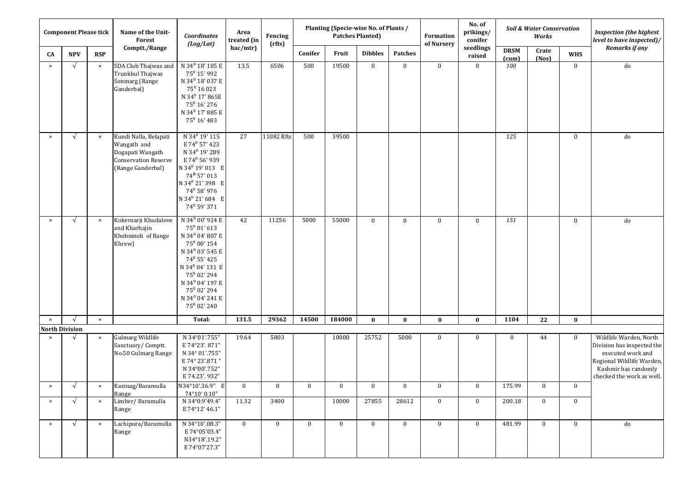| <b>Component Please tick</b>            |            |                       | Name of the Unit-<br><b>Forest</b>                                                                           | Coordinates<br>(log/Lat)                                                                                                                                                                                                                                                                        | Area<br>treated (in | Planting (Specie-wise No. of Plants /<br><b>Patches Planted)</b><br>Fencing<br>(rfts) |          |              |                |                | Formation<br>of Nursery | No. of<br>prikings/<br>conifer | Soil & Water Conservation<br>Works |                |              | <b>Inspection (the highest</b><br>level to have inspected)/                                                                                                 |
|-----------------------------------------|------------|-----------------------|--------------------------------------------------------------------------------------------------------------|-------------------------------------------------------------------------------------------------------------------------------------------------------------------------------------------------------------------------------------------------------------------------------------------------|---------------------|---------------------------------------------------------------------------------------|----------|--------------|----------------|----------------|-------------------------|--------------------------------|------------------------------------|----------------|--------------|-------------------------------------------------------------------------------------------------------------------------------------------------------------|
| CA                                      | <b>NPV</b> | <b>RSP</b>            | Comptt./Range                                                                                                |                                                                                                                                                                                                                                                                                                 | hac/mtr)            |                                                                                       | Conifer  | Fruit        | <b>Dibbles</b> | <b>Patches</b> |                         | seedlings<br>raised            | <b>DRSM</b><br>(cum)               | Crate<br>(Nos) | <b>WHS</b>   | Remarks if any                                                                                                                                              |
| $\pmb{\times}$                          | $\sqrt{ }$ | $\boldsymbol{\times}$ | SDA Club Thajwas and<br>Trunkhul Thajwas<br>Sonmarg (Range<br>Ganderbal)                                     | N 34 <sup>0</sup> 18' 105 E<br>75 <sup>0</sup> 15' 992<br>N 34 <sup>0</sup> 18' 037 E<br>75 <sup>0</sup> 16 023<br>N 34 <sup>0</sup> 17' 865E<br>$75^0$ 16' 276<br>N 34 <sup>0</sup> 17' 885 E<br>$75^{\circ}$ 16' 483                                                                          | 13.5                | 6506                                                                                  | 500      | 19500        | $\bf{0}$       | $\mathbf{0}$   | $\bf{0}$                | $\bf{0}$                       | 100                                |                | $\bf{0}$     | ${\rm do}$                                                                                                                                                  |
| $\pmb{\times}$                          | $\sqrt{ }$ | $\pmb{\times}$        | Kundi Nalla, Belapati<br>Wangath and<br>Dogapati Wangath<br><b>Conservation Reserve</b><br>(Range Ganderbal) | N 34 <sup>0</sup> 19' 115<br>E 74 <sup>0</sup> 57' 423<br>N 34 <sup>0</sup> 19' 289<br>E 74 <sup>0</sup> 56' 939<br>N 34 <sup>0</sup> 19' 013 E<br>$74^{\rm o}$ 57' 013<br>N 34º 21' 398 E<br>74° 58' 976<br>N 34º 21' 684 E<br>74 <sup>0</sup> 59' 371                                         | 27                  | 11082 Rfts                                                                            | 500      | 39500        |                |                |                         |                                | 125                                |                | $\bf{0}$     | do                                                                                                                                                          |
| $\times$                                | $\sqrt{ }$ | $\times$              | Kokernarji Khudalove<br>and Kharhajin<br>Khobnmoh of Range<br>Khrew)                                         | N 34 <sup>0</sup> 00' 924 E<br>$75^0$ 01' 613<br>N 34 <sup>0</sup> 04' 807 E<br>75 <sup>0</sup> 00' 154<br>N 34 <sup>0</sup> 03' 545 E<br>74° 55' 425<br>N 34 <sup>0</sup> 04' 131 E<br>750 02' 294<br>N 34 <sup>0</sup> 04' 197 E<br>750 02' 294<br>N 34 <sup>0</sup> 04' 241 E<br>750 02' 240 | 42                  | 11256                                                                                 | 5000     | 55000        | $\bf{0}$       | $\mathbf{0}$   | $\bf{0}$                | $\bf{0}$                       | 151                                |                | $\bf{0}$     | do                                                                                                                                                          |
| $\pmb{\times}$<br><b>North Division</b> | $\sqrt{ }$ | $\times$              |                                                                                                              | Total:                                                                                                                                                                                                                                                                                          | 131.5               | 29362                                                                                 | 14500    | 184000       | $\bf{0}$       | $\bf{0}$       | $\bf{0}$                | $\bf{0}$                       | 1104                               | 22             | $\bf{0}$     |                                                                                                                                                             |
| $\boldsymbol{\mathsf{x}}$               | $\sqrt{ }$ | $\pmb{\times}$        | <b>Gulmarg Wildlife</b><br>Sanctuary/Comptt.<br>No.50 Gulmarg Range                                          | N 34°01'.755"<br>E 74°23'. 871"<br>N 34° 01'.755"<br>E 74° 23'.871"<br>N 34°00'.752"<br>E 74.23'. 932"                                                                                                                                                                                          | 19.64               | 5803                                                                                  |          | 10000        | 25752          | 5000           | $\mathbf{0}$            | $\bf{0}$                       | $\bf{0}$                           | 44             | $\bf{0}$     | Wildlife Warden, North<br>Division has inspected the<br>executed work and<br>Regional Wildlife Warden,<br>Kashmir has randomly<br>checked the work as well. |
| $\times$                                | $\sqrt{ }$ | $\pmb{\times}$        | Kazinag/Baramulla<br>Range                                                                                   | N34°10'.36.9" E<br>74°10' 0.10"                                                                                                                                                                                                                                                                 | $\bf{0}$            | $\bf{0}$                                                                              | $\bf{0}$ | $\bf{0}$     | $\mathbf{0}$   | $\mathbf{0}$   | $\bf{0}$                | $\bf{0}$                       | 175.99                             | $\bf{0}$       | $\bf{0}$     |                                                                                                                                                             |
| $\times$                                | $\sqrt{ }$ | $\pmb{\times}$        | Limber/Baramulla<br>Range                                                                                    | N 34°0.9'49.4"<br>E 74°12' 46.1"                                                                                                                                                                                                                                                                | 11.32               | 3400                                                                                  |          | 10000        | 27855          | 28612          | $\mathbf{0}$            | $\bf{0}$                       | 200.18                             | $\mathbf{0}$   | $\bf{0}$     |                                                                                                                                                             |
| $\times$                                | $\sqrt{ }$ | $\times$              | Lachipora/Baramulla<br>Range                                                                                 | N 34°10'.08.3"<br>E 74°05'03.4"<br>N34°18'.19.2"<br>E 74°07'27.3"                                                                                                                                                                                                                               | $\bf{0}$            | $\bf{0}$                                                                              | $\bf{0}$ | $\mathbf{0}$ | $\mathbf{0}$   | $\mathbf{0}$   | $\mathbf{0}$            | $\bf{0}$                       | 481.99                             | $\mathbf{0}$   | $\mathbf{0}$ | $_{\rm do}$                                                                                                                                                 |